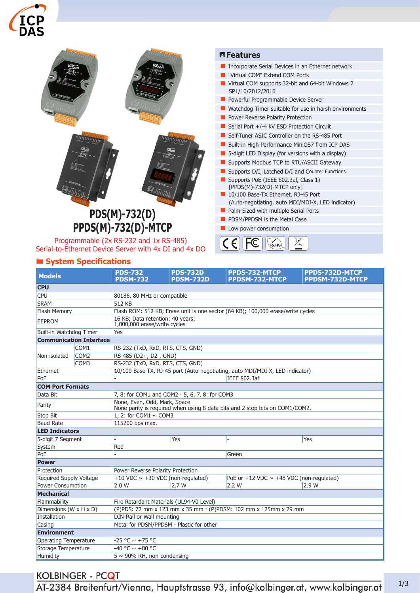



# ® **System Specifications**

| <b>Models</b>           |                                | <b>PDS-732</b><br><b>PDSM-732</b>                                                                            | <b>PDS-732D</b><br><b>PDSM-732D</b>    | PPDS-732-MTCP<br>PPDSM-732-MTCP               | PPDS-732D-MTCP<br>PPDSM-732D-MTCP |  |
|-------------------------|--------------------------------|--------------------------------------------------------------------------------------------------------------|----------------------------------------|-----------------------------------------------|-----------------------------------|--|
| <b>CPU</b>              |                                |                                                                                                              |                                        |                                               |                                   |  |
| <b>CPU</b>              |                                | 80186, 80 MHz or compatible                                                                                  |                                        |                                               |                                   |  |
| <b>SRAM</b>             |                                | 512 KB                                                                                                       |                                        |                                               |                                   |  |
| <b>Flash Memory</b>     |                                | Flash ROM: 512 KB; Erase unit is one sector (64 KB); 100,000 erase/write cycles                              |                                        |                                               |                                   |  |
| <b>EEPROM</b>           |                                | 16 KB; Data retention: 40 years;<br>1,000,000 erase/write cycles                                             |                                        |                                               |                                   |  |
| Built-in Watchdog Timer |                                | Yes                                                                                                          |                                        |                                               |                                   |  |
|                         | <b>Communication Interface</b> |                                                                                                              |                                        |                                               |                                   |  |
| Non-isolated            | COM <sub>1</sub>               | RS-232 (TxD, RxD, RTS, CTS, GND)                                                                             |                                        |                                               |                                   |  |
|                         | COM <sub>2</sub>               | RS-485 (D2+, D2-, GND)                                                                                       |                                        |                                               |                                   |  |
|                         | COM <sub>3</sub>               | RS-232 (TxD, RxD, RTS, CTS, GND)                                                                             |                                        |                                               |                                   |  |
| Ethernet                |                                | 10/100 Base-TX, RJ-45 port (Auto-negotiating, auto MDI/MDI-X, LED indicator)                                 |                                        |                                               |                                   |  |
| PoE                     |                                | <b>IEEE 802.3af</b>                                                                                          |                                        |                                               |                                   |  |
| <b>COM Port Formats</b> |                                |                                                                                                              |                                        |                                               |                                   |  |
| Data Bit                |                                | 7, 8: for COM1 and COM2, 5, 6, 7, 8: for COM3                                                                |                                        |                                               |                                   |  |
| Parity                  |                                | None, Even, Odd, Mark, Space<br>None parity is required when using 8 data bits and 2 stop bits on COM1/COM2. |                                        |                                               |                                   |  |
| Stop Bit                |                                | 1, 2: for COM1 $\sim$ COM3                                                                                   |                                        |                                               |                                   |  |
| <b>Baud Rate</b>        |                                | 115200 bps max.                                                                                              |                                        |                                               |                                   |  |
| <b>LED Indicators</b>   |                                |                                                                                                              |                                        |                                               |                                   |  |
| 5-digit 7 Segment       |                                |                                                                                                              | Yes                                    |                                               | Yes                               |  |
| System                  |                                | Red                                                                                                          |                                        |                                               |                                   |  |
| PoE                     |                                |                                                                                                              |                                        | Green                                         |                                   |  |
| <b>Power</b>            |                                |                                                                                                              |                                        |                                               |                                   |  |
| Protection              |                                | Power Reverse Polarity Protection                                                                            |                                        |                                               |                                   |  |
| Required Supply Voltage |                                |                                                                                                              | +10 VDC $\sim$ +30 VDC (non-regulated) | PoE or +12 VDC $\sim$ +48 VDC (non-regulated) |                                   |  |
| Power Consumption       |                                | 2.0 W                                                                                                        | 2.7W                                   | 2.2 W                                         | 2.9W                              |  |
| <b>Mechanical</b>       |                                |                                                                                                              |                                        |                                               |                                   |  |
| Flammability            |                                | Fire Retardant Materials (UL94-V0 Level)                                                                     |                                        |                                               |                                   |  |
| Dimensions (W x H x D)  |                                | (P)PDS: 72 mm x 123 mm x 35 mm · (P)PDSM: 102 mm x 125mm x 29 mm                                             |                                        |                                               |                                   |  |
| Installation            |                                | DIN-Rail or Wall mounting                                                                                    |                                        |                                               |                                   |  |
| Casing                  |                                | Metal for PDSM/PPDSM, Plastic for other                                                                      |                                        |                                               |                                   |  |
| <b>Environment</b>      |                                |                                                                                                              |                                        |                                               |                                   |  |
| Operating Temperature   |                                | $-25 °C \sim +75 °C$                                                                                         |                                        |                                               |                                   |  |
| Storage Temperature     |                                | $-40 °C \sim +80 °C$                                                                                         |                                        |                                               |                                   |  |
| Humidity                |                                | $5 \sim 90\%$ RH, non-condensing                                                                             |                                        |                                               |                                   |  |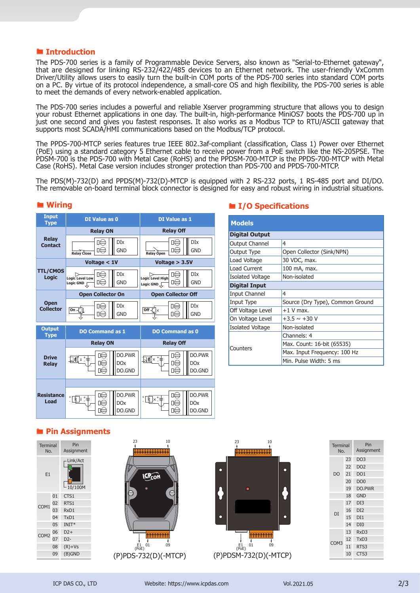#### ® **Introduction**

The PDS-700 series is a family of Programmable Device Servers, also known as "Serial-to-Ethernet gateway", that are designed for linking RS-232/422/485 devices to an Ethernet network. The user-friendly VxComm Driver/Utility allows users to easily turn the built-in COM ports of the PDS-700 series into standard COM ports on a PC. By virtue of its protocol independence, a small-core OS and high flexibility, the PDS-700 series is able to meet the demands of every network-enabled application.

The PDS-700 series includes a powerful and reliable Xserver programming structure that allows you to design your robust Ethernet applications in one day. The built-in, high-performance MiniOS7 boots the PDS-700 up in just one second and gives you fastest responses. It also works as a Modbus TCP to RTU/ASCII gateway that supports most SCADA/HMI communications based on the Modbus/TCP protocol.

The PPDS-700-MTCP series features true IEEE 802.3af-compliant (classification, Class 1) Power over Ethernet (PoE) using a standard category 5 Ethernet cable to receive power from a PoE switch like the NS-205PSE. The PDSM-700 is the PDS-700 with Metal Case (RoHS) and the PPDSM-700-MTCP is the PPDS-700-MTCP with Metal Case (RoHS). Metal Case version includes stronger protection than PDS-700 and PPDS-700-MTCP.

The PDS(M)-732(D) and PPDS(M)-732(D)-MTCP is equipped with 2 RS-232 ports, 1 RS-485 port and DI/DO. The removable on-board terminal block connector is designed for easy and robust wiring in industrial situations.



#### ® **Wiring**

#### ® **I/O Specifications**

| <b>Models</b>           |                                  |  |  |  |  |  |
|-------------------------|----------------------------------|--|--|--|--|--|
| <b>Digital Output</b>   |                                  |  |  |  |  |  |
| <b>Output Channel</b>   | 4                                |  |  |  |  |  |
| Output Type             | Open Collector (Sink/NPN)        |  |  |  |  |  |
| Load Voltage            | 30 VDC, max.                     |  |  |  |  |  |
| Load Current            | 100 mA, max.                     |  |  |  |  |  |
| <b>Isolated Voltage</b> | Non-isolated                     |  |  |  |  |  |
| <b>Digital Input</b>    |                                  |  |  |  |  |  |
| Input Channel           | 4                                |  |  |  |  |  |
| Input Type              | Source (Dry Type), Common Ground |  |  |  |  |  |
| Off Voltage Level       | $+1$ V max.                      |  |  |  |  |  |
| On Voltage Level        | $+3.5 \sim +30$ V                |  |  |  |  |  |
| <b>Isolated Voltage</b> | Non-isolated                     |  |  |  |  |  |
|                         | Channels: 4                      |  |  |  |  |  |
| Counters                | Max. Count: 16-bit (65535)       |  |  |  |  |  |
|                         | Max. Input Frequency: 100 Hz     |  |  |  |  |  |
|                         | Min. Pulse Width: 5 ms           |  |  |  |  |  |

### ® **Pin Assignments**